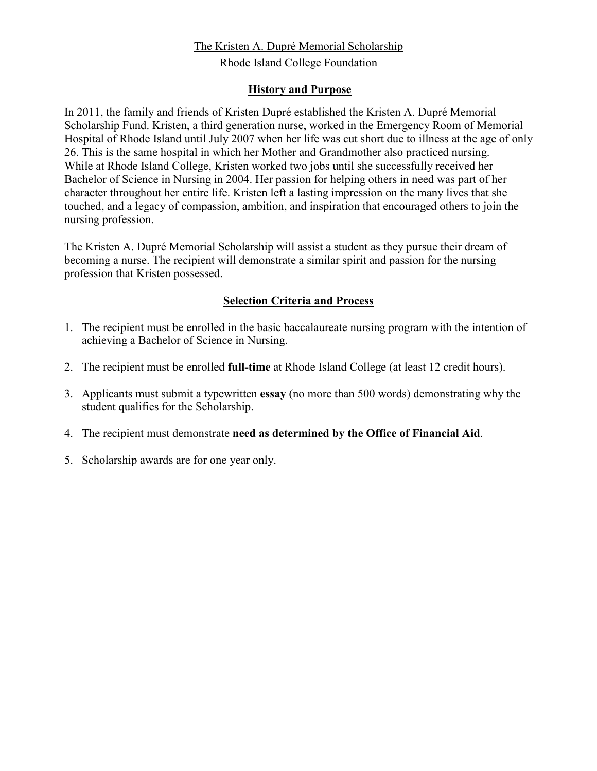## The Kristen A. Dupré Memorial Scholarship

Rhode Island College Foundation

## **History and Purpose**

In 2011, the family and friends of Kristen Dupré established the Kristen A. Dupré Memorial Scholarship Fund. Kristen, a third generation nurse, worked in the Emergency Room of Memorial Hospital of Rhode Island until July 2007 when her life was cut short due to illness at the age of only 26. This is the same hospital in which her Mother and Grandmother also practiced nursing. While at Rhode Island College, Kristen worked two jobs until she successfully received her Bachelor of Science in Nursing in 2004. Her passion for helping others in need was part of her character throughout her entire life. Kristen left a lasting impression on the many lives that she touched, and a legacy of compassion, ambition, and inspiration that encouraged others to join the nursing profession.

The Kristen A. Dupré Memorial Scholarship will assist a student as they pursue their dream of becoming a nurse. The recipient will demonstrate a similar spirit and passion for the nursing profession that Kristen possessed.

## **Selection Criteria and Process**

- 1. The recipient must be enrolled in the basic baccalaureate nursing program with the intention of achieving a Bachelor of Science in Nursing.
- 2. The recipient must be enrolled **full-time** at Rhode Island College (at least 12 credit hours).
- 3. Applicants must submit a typewritten **essay** (no more than 500 words) demonstrating why the student qualifies for the Scholarship.
- 4. The recipient must demonstrate **need as determined by the Office of Financial Aid**.
- 5. Scholarship awards are for one year only.